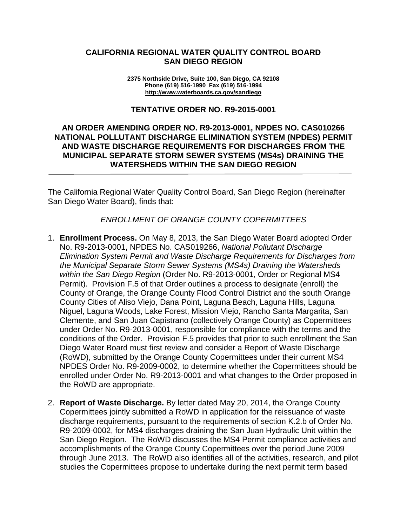#### **CALIFORNIA REGIONAL WATER QUALITY CONTROL BOARD SAN DIEGO REGION**

**2375 Northside Drive, Suite 100, San Diego, CA 92108 Phone (619) 516-1990 Fax (619) 516-1994 <http://www.waterboards.ca.gov/sandiego>**

#### **TENTATIVE ORDER NO. R9-2015-0001**

## **AN ORDER AMENDING ORDER NO. R9-2013-0001, NPDES NO. CAS010266 NATIONAL POLLUTANT DISCHARGE ELIMINATION SYSTEM (NPDES) PERMIT AND WASTE DISCHARGE REQUIREMENTS FOR DISCHARGES FROM THE MUNICIPAL SEPARATE STORM SEWER SYSTEMS (MS4s) DRAINING THE WATERSHEDS WITHIN THE SAN DIEGO REGION**

The California Regional Water Quality Control Board, San Diego Region (hereinafter San Diego Water Board), finds that:

*ENROLLMENT OF ORANGE COUNTY COPERMITTEES*

- 1. **Enrollment Process.** On May 8, 2013, the San Diego Water Board adopted Order No. R9-2013-0001, NPDES No. CAS019266, *National Pollutant Discharge Elimination System Permit and Waste Discharge Requirements for Discharges from the Municipal Separate Storm Sewer Systems (MS4s) Draining the Watersheds within the San Diego Region* (Order No. R9-2013-0001, Order or Regional MS4 Permit). Provision F.5 of that Order outlines a process to designate (enroll) the County of Orange, the Orange County Flood Control District and the south Orange County Cities of Aliso Viejo, Dana Point, Laguna Beach, Laguna Hills, Laguna Niguel, Laguna Woods, Lake Forest, Mission Viejo, Rancho Santa Margarita, San Clemente, and San Juan Capistrano (collectively Orange County) as Copermittees under Order No. R9-2013-0001, responsible for compliance with the terms and the conditions of the Order. Provision F.5 provides that prior to such enrollment the San Diego Water Board must first review and consider a Report of Waste Discharge (RoWD), submitted by the Orange County Copermittees under their current MS4 NPDES Order No. R9-2009-0002, to determine whether the Copermittees should be enrolled under Order No. R9-2013-0001 and what changes to the Order proposed in the RoWD are appropriate.
- 2. **Report of Waste Discharge.** By letter dated May 20, 2014, the Orange County Copermittees jointly submitted a RoWD in application for the reissuance of waste discharge requirements, pursuant to the requirements of section K.2.b of Order No. R9-2009-0002, for MS4 discharges draining the San Juan Hydraulic Unit within the San Diego Region. The RoWD discusses the MS4 Permit compliance activities and accomplishments of the Orange County Copermittees over the period June 2009 through June 2013. The RoWD also identifies all of the activities, research, and pilot studies the Copermittees propose to undertake during the next permit term based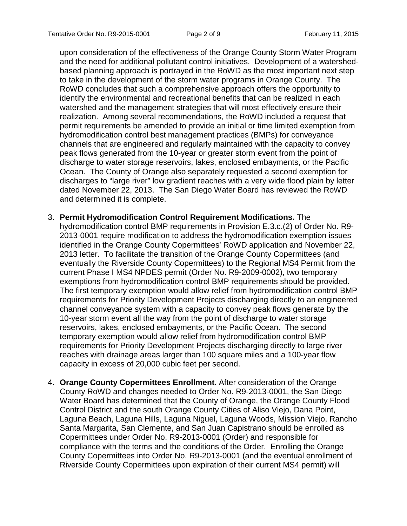upon consideration of the effectiveness of the Orange County Storm Water Program and the need for additional pollutant control initiatives. Development of a watershedbased planning approach is portrayed in the RoWD as the most important next step to take in the development of the storm water programs in Orange County. The RoWD concludes that such a comprehensive approach offers the opportunity to identify the environmental and recreational benefits that can be realized in each watershed and the management strategies that will most effectively ensure their realization. Among several recommendations, the RoWD included a request that permit requirements be amended to provide an initial or time limited exemption from hydromodification control best management practices (BMPs) for conveyance channels that are engineered and regularly maintained with the capacity to convey peak flows generated from the 10-year or greater storm event from the point of discharge to water storage reservoirs, lakes, enclosed embayments, or the Pacific Ocean. The County of Orange also separately requested a second exemption for discharges to "large river" low gradient reaches with a very wide flood plain by letter dated November 22, 2013. The San Diego Water Board has reviewed the RoWD and determined it is complete.

- 3. **Permit Hydromodification Control Requirement Modifications.** The hydromodification control BMP requirements in Provision E.3.c.(2) of Order No. R9- 2013-0001 require modification to address the hydromodification exemption issues identified in the Orange County Copermittees' RoWD application and November 22, 2013 letter. To facilitate the transition of the Orange County Copermittees (and eventually the Riverside County Copermittees) to the Regional MS4 Permit from the current Phase I MS4 NPDES permit (Order No. R9-2009-0002), two temporary exemptions from hydromodification control BMP requirements should be provided. The first temporary exemption would allow relief from hydromodification control BMP requirements for Priority Development Projects discharging directly to an engineered channel conveyance system with a capacity to convey peak flows generate by the 10-year storm event all the way from the point of discharge to water storage reservoirs, lakes, enclosed embayments, or the Pacific Ocean. The second temporary exemption would allow relief from hydromodification control BMP requirements for Priority Development Projects discharging directly to large river reaches with drainage areas larger than 100 square miles and a 100-year flow capacity in excess of 20,000 cubic feet per second.
- 4. **Orange County Copermittees Enrollment.** After consideration of the Orange County RoWD and changes needed to Order No. R9-2013-0001, the San Diego Water Board has determined that the County of Orange, the Orange County Flood Control District and the south Orange County Cities of Aliso Viejo, Dana Point, Laguna Beach, Laguna Hills, Laguna Niguel, Laguna Woods, Mission Viejo, Rancho Santa Margarita, San Clemente, and San Juan Capistrano should be enrolled as Copermittees under Order No. R9-2013-0001 (Order) and responsible for compliance with the terms and the conditions of the Order. Enrolling the Orange County Copermittees into Order No. R9-2013-0001 (and the eventual enrollment of Riverside County Copermittees upon expiration of their current MS4 permit) will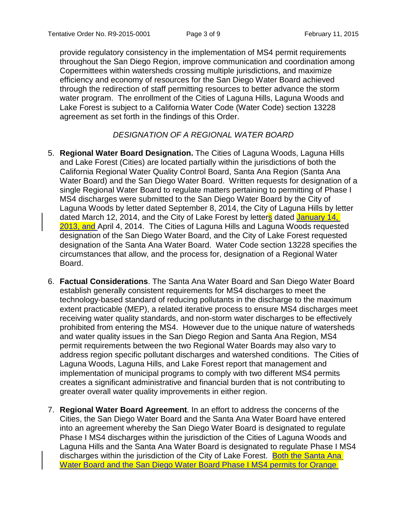provide regulatory consistency in the implementation of MS4 permit requirements throughout the San Diego Region, improve communication and coordination among Copermittees within watersheds crossing multiple jurisdictions, and maximize efficiency and economy of resources for the San Diego Water Board achieved through the redirection of staff permitting resources to better advance the storm water program. The enrollment of the Cities of Laguna Hills, Laguna Woods and Lake Forest is subject to a California Water Code (Water Code) section 13228 agreement as set forth in the findings of this Order.

## *DESIGNATION OF A REGIONAL WATER BOARD*

- 5. **Regional Water Board Designation.** The Cities of Laguna Woods, Laguna Hills and Lake Forest (Cities) are located partially within the jurisdictions of both the California Regional Water Quality Control Board, Santa Ana Region (Santa Ana Water Board) and the San Diego Water Board. Written requests for designation of a single Regional Water Board to regulate matters pertaining to permitting of Phase I MS4 discharges were submitted to the San Diego Water Board by the City of Laguna Woods by letter dated September 8, 2014, the City of Laguna Hills by letter dated March 12, 2014, and the City of Lake Forest by letters dated January 14, 2013, and April 4, 2014. The Cities of Laguna Hills and Laguna Woods requested designation of the San Diego Water Board, and the City of Lake Forest requested designation of the Santa Ana Water Board. Water Code section 13228 specifies the circumstances that allow, and the process for, designation of a Regional Water Board.
- 6. **Factual Considerations**. The Santa Ana Water Board and San Diego Water Board establish generally consistent requirements for MS4 discharges to meet the technology-based standard of reducing pollutants in the discharge to the maximum extent practicable (MEP), a related iterative process to ensure MS4 discharges meet receiving water quality standards, and non-storm water discharges to be effectively prohibited from entering the MS4. However due to the unique nature of watersheds and water quality issues in the San Diego Region and Santa Ana Region, MS4 permit requirements between the two Regional Water Boards may also vary to address region specific pollutant discharges and watershed conditions. The Cities of Laguna Woods, Laguna Hills, and Lake Forest report that management and implementation of municipal programs to comply with two different MS4 permits creates a significant administrative and financial burden that is not contributing to greater overall water quality improvements in either region.
- 7. **Regional Water Board Agreement**. In an effort to address the concerns of the Cities, the San Diego Water Board and the Santa Ana Water Board have entered into an agreement whereby the San Diego Water Board is designated to regulate Phase I MS4 discharges within the jurisdiction of the Cities of Laguna Woods and Laguna Hills and the Santa Ana Water Board is designated to regulate Phase I MS4 discharges within the jurisdiction of the City of Lake Forest. Both the Santa Ana Water Board and the San Diego Water Board Phase I MS4 permits for Orange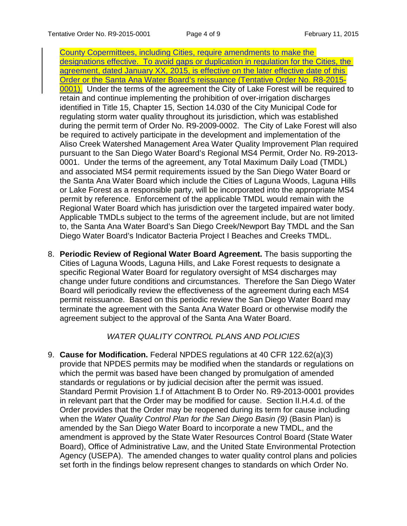County Copermittees, including Cities, require amendments to make the designations effective. To avoid gaps or duplication in regulation for the Cities, the agreement, dated January XX, 2015, is effective on the later effective date of this Order or the Santa Ana Water Board's reissuance (Tentative Order No. R8-2015- 0001). Under the terms of the agreement the City of Lake Forest will be required to retain and continue implementing the prohibition of over-irrigation discharges identified in Title 15, Chapter 15, Section 14.030 of the City Municipal Code for regulating storm water quality throughout its jurisdiction, which was established during the permit term of Order No. R9-2009-0002. The City of Lake Forest will also be required to actively participate in the development and implementation of the Aliso Creek Watershed Management Area Water Quality Improvement Plan required pursuant to the San Diego Water Board's Regional MS4 Permit, Order No. R9-2013- 0001. Under the terms of the agreement, any Total Maximum Daily Load (TMDL) and associated MS4 permit requirements issued by the San Diego Water Board or the Santa Ana Water Board which include the Cities of Laguna Woods, Laguna Hills or Lake Forest as a responsible party, will be incorporated into the appropriate MS4 permit by reference. Enforcement of the applicable TMDL would remain with the Regional Water Board which has jurisdiction over the targeted impaired water body. Applicable TMDLs subject to the terms of the agreement include, but are not limited to, the Santa Ana Water Board's San Diego Creek/Newport Bay TMDL and the San Diego Water Board's Indicator Bacteria Project I Beaches and Creeks TMDL.

8. **Periodic Review of Regional Water Board Agreement.** The basis supporting the Cities of Laguna Woods, Laguna Hills, and Lake Forest requests to designate a specific Regional Water Board for regulatory oversight of MS4 discharges may change under future conditions and circumstances. Therefore the San Diego Water Board will periodically review the effectiveness of the agreement during each MS4 permit reissuance. Based on this periodic review the San Diego Water Board may terminate the agreement with the Santa Ana Water Board or otherwise modify the agreement subject to the approval of the Santa Ana Water Board.

## *WATER QUALITY CONTROL PLANS AND POLICIES*

9. **Cause for Modification.** Federal NPDES regulations at 40 CFR 122.62(a)(3) provide that NPDES permits may be modified when the standards or regulations on which the permit was based have been changed by promulgation of amended standards or regulations or by judicial decision after the permit was issued. Standard Permit Provision 1.f of Attachment B to Order No. R9-2013-0001 provides in relevant part that the Order may be modified for cause. Section II.H.4.d. of the Order provides that the Order may be reopened during its term for cause including when the *Water Quality Control Plan for the San Diego Basin (9)* (Basin Plan) is amended by the San Diego Water Board to incorporate a new TMDL, and the amendment is approved by the State Water Resources Control Board (State Water Board), Office of Administrative Law, and the United State Environmental Protection Agency (USEPA). The amended changes to water quality control plans and policies set forth in the findings below represent changes to standards on which Order No.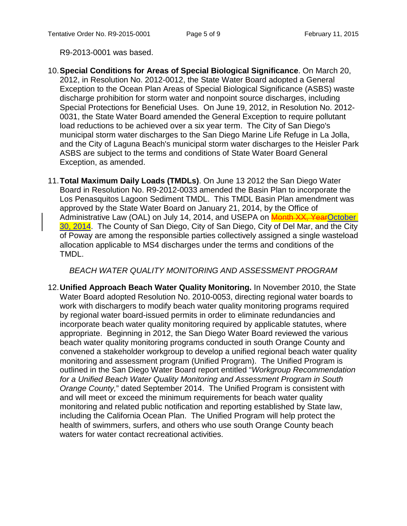R9-2013-0001 was based.

- 10.**Special Conditions for Areas of Special Biological Significance**. On March 20, 2012, in Resolution No. 2012-0012, the State Water Board adopted a General Exception to the Ocean Plan Areas of Special Biological Significance (ASBS) waste discharge prohibition for storm water and nonpoint source discharges, including Special Protections for Beneficial Uses. On June 19, 2012, in Resolution No. 2012- 0031, the State Water Board amended the General Exception to require pollutant load reductions to be achieved over a six year term. The City of San Diego's municipal storm water discharges to the San Diego Marine Life Refuge in La Jolla, and the City of Laguna Beach's municipal storm water discharges to the Heisler Park ASBS are subject to the terms and conditions of State Water Board General Exception, as amended.
- 11.**Total Maximum Daily Loads (TMDLs)**. On June 13 2012 the San Diego Water Board in Resolution No. R9-2012-0033 amended the Basin Plan to incorporate the Los Penasquitos Lagoon Sediment TMDL. This TMDL Basin Plan amendment was approved by the State Water Board on January 21, 2014, by the Office of Administrative Law (OAL) on July 14, 2014, and USEPA on Month XX, YearOctober 30, 2014. The County of San Diego, City of San Diego, City of Del Mar, and the City of Poway are among the responsible parties collectively assigned a single wasteload allocation applicable to MS4 discharges under the terms and conditions of the TMDL.

#### *BEACH WATER QUALITY MONITORING AND ASSESSMENT PROGRAM*

12.**Unified Approach Beach Water Quality Monitoring.** In November 2010, the State Water Board adopted Resolution No. 2010-0053, directing regional water boards to work with dischargers to modify beach water quality monitoring programs required by regional water board-issued permits in order to eliminate redundancies and incorporate beach water quality monitoring required by applicable statutes, where appropriate. Beginning in 2012, the San Diego Water Board reviewed the various beach water quality monitoring programs conducted in south Orange County and convened a stakeholder workgroup to develop a unified regional beach water quality monitoring and assessment program (Unified Program). The Unified Program is outlined in the San Diego Water Board report entitled "*Workgroup Recommendation for a Unified Beach Water Quality Monitoring and Assessment Program in South Orange County,*" dated September 2014. The Unified Program is consistent with and will meet or exceed the minimum requirements for beach water quality monitoring and related public notification and reporting established by State law, including the California Ocean Plan. The Unified Program will help protect the health of swimmers, surfers, and others who use south Orange County beach waters for water contact recreational activities.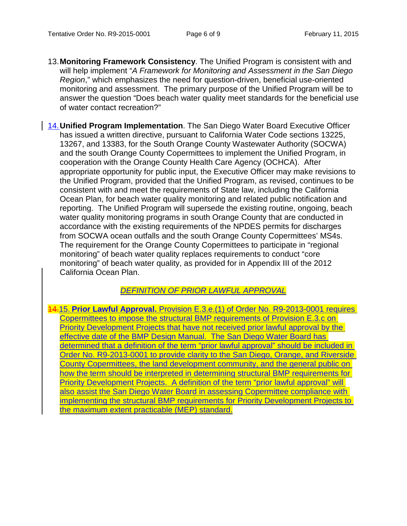- 13.**Monitoring Framework Consistency**. The Unified Program is consistent with and will help implement "*A Framework for Monitoring and Assessment in the San Diego Region*," which emphasizes the need for question-driven, beneficial use-oriented monitoring and assessment. The primary purpose of the Unified Program will be to answer the question "Does beach water quality meet standards for the beneficial use of water contact recreation?"
- 14.**Unified Program Implementation**. The San Diego Water Board Executive Officer has issued a written directive, pursuant to California Water Code sections 13225, 13267, and 13383, for the South Orange County Wastewater Authority (SOCWA) and the south Orange County Copermittees to implement the Unified Program, in cooperation with the Orange County Health Care Agency (OCHCA). After appropriate opportunity for public input, the Executive Officer may make revisions to the Unified Program, provided that the Unified Program, as revised, continues to be consistent with and meet the requirements of State law, including the California Ocean Plan, for beach water quality monitoring and related public notification and reporting. The Unified Program will supersede the existing routine, ongoing, beach water quality monitoring programs in south Orange County that are conducted in accordance with the existing requirements of the NPDES permits for discharges from SOCWA ocean outfalls and the south Orange County Copermittees' MS4s. The requirement for the Orange County Copermittees to participate in "regional monitoring" of beach water quality replaces requirements to conduct "core monitoring" of beach water quality, as provided for in Appendix III of the 2012 California Ocean Plan.

#### *DEFINITION OF PRIOR LAWFUL APPROVAL*

14.15. **Prior Lawful Approval.** Provision E.3.e.(1) of Order No. R9-2013-0001 requires Copermittees to impose the structural BMP requirements of Provision E.3.c on Priority Development Projects that have not received prior lawful approval by the effective date of the BMP Design Manual. The San Diego Water Board has determined that a definition of the term "prior lawful approval" should be included in Order No. R9-2013-0001 to provide clarity to the San Diego, Orange, and Riverside County Copermittees, the land development community, and the general public on how the term should be interpreted in determining structural BMP requirements for Priority Development Projects. A definition of the term "prior lawful approval" will also assist the San Diego Water Board in assessing Copermittee compliance with implementing the structural BMP requirements for Priority Development Projects to the maximum extent practicable (MEP) standard.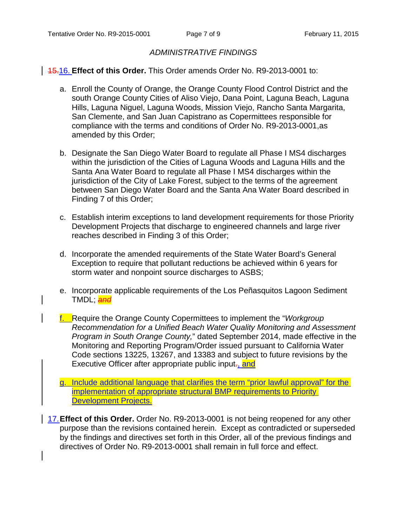## *ADMINISTRATIVE FINDINGS*

### 15.16. **Effect of this Order.** This Order amends Order No. R9-2013-0001 to:

- a. Enroll the County of Orange, the Orange County Flood Control District and the south Orange County Cities of Aliso Viejo, Dana Point, Laguna Beach, Laguna Hills, Laguna Niguel, Laguna Woods, Mission Viejo, Rancho Santa Margarita, San Clemente, and San Juan Capistrano as Copermittees responsible for compliance with the terms and conditions of Order No. R9-2013-0001,as amended by this Order;
- b. Designate the San Diego Water Board to regulate all Phase I MS4 discharges within the jurisdiction of the Cities of Laguna Woods and Laguna Hills and the Santa Ana Water Board to regulate all Phase I MS4 discharges within the jurisdiction of the City of Lake Forest, subject to the terms of the agreement between San Diego Water Board and the Santa Ana Water Board described in Finding 7 of this Order;
- c. Establish interim exceptions to land development requirements for those Priority Development Projects that discharge to engineered channels and large river reaches described in Finding 3 of this Order;
- d. Incorporate the amended requirements of the State Water Board's General Exception to require that pollutant reductions be achieved within 6 years for storm water and nonpoint source discharges to ASBS;
- e. Incorporate applicable requirements of the Los Peñasquitos Lagoon Sediment TMDL; *and*
- f. Require the Orange County Copermittees to implement the "*Workgroup Recommendation for a Unified Beach Water Quality Monitoring and Assessment Program in South Orange County,*" dated September 2014, made effective in the Monitoring and Reporting Program/Order issued pursuant to California Water Code sections 13225, 13267, and 13383 and subject to future revisions by the Executive Officer after appropriate public input., and
- g. Include additional language that clarifies the term "prior lawful approval" for the implementation of appropriate structural BMP requirements to Priority Development Projects.
- 17.**Effect of this Order.** Order No. R9-2013-0001 is not being reopened for any other purpose than the revisions contained herein. Except as contradicted or superseded by the findings and directives set forth in this Order, all of the previous findings and directives of Order No. R9-2013-0001 shall remain in full force and effect.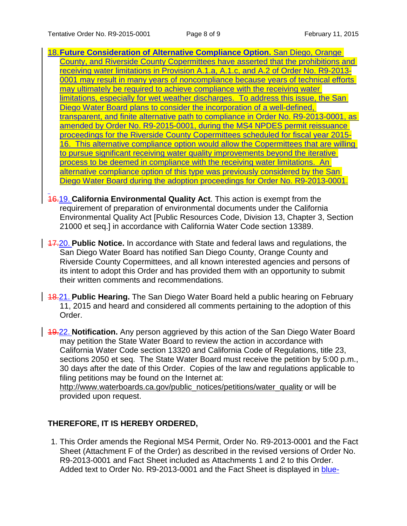- 18.**Future Consideration of Alternative Compliance Option.** San Diego, Orange County, and Riverside County Copermittees have asserted that the prohibitions and receiving water limitations in Provision A.1.a, A.1.c, and A.2 of Order No. R9-2013- 0001 may result in many years of noncompliance because years of technical efforts may ultimately be required to achieve compliance with the receiving water limitations, especially for wet weather discharges. To address this issue, the San Diego Water Board plans to consider the incorporation of a well-defined, transparent, and finite alternative path to compliance in Order No. R9-2013-0001, as amended by Order No. R9-2015-0001, during the MS4 NPDES permit reissuance proceedings for the Riverside County Copermittees scheduled for fiscal year 2015- 16. This alternative compliance option would allow the Copermittees that are willing to pursue significant receiving water quality improvements beyond the iterative process to be deemed in compliance with the receiving water limitations. An alternative compliance option of this type was previously considered by the San Diego Water Board during the adoption proceedings for Order No. R9-2013-0001.
- 16.19. **California Environmental Quality Act**. This action is exempt from the requirement of preparation of environmental documents under the California Environmental Quality Act [Public Resources Code, Division 13, Chapter 3, Section 21000 et seq.] in accordance with California Water Code section 13389.
- 17.20. **Public Notice.** In accordance with State and federal laws and regulations, the San Diego Water Board has notified San Diego County, Orange County and Riverside County Copermittees, and all known interested agencies and persons of its intent to adopt this Order and has provided them with an opportunity to submit their written comments and recommendations.
- 18.21. **Public Hearing.** The San Diego Water Board held a public hearing on February 11, 2015 and heard and considered all comments pertaining to the adoption of this Order.

19.22. **Notification.** Any person aggrieved by this action of the San Diego Water Board may petition the State Water Board to review the action in accordance with California Water Code section 13320 and California Code of Regulations, title 23, sections 2050 et seq. The State Water Board must receive the petition by 5:00 p.m., 30 days after the date of this Order. Copies of the law and regulations applicable to filing petitions may be found on the Internet at:

[http://www.waterboards.ca.gov/public\\_notices/petitions/water\\_quality](http://www.waterboards.ca.gov/public_notices/petitions/water_quality) or will be provided upon request.

# **THEREFORE, IT IS HEREBY ORDERED,**

1. This Order amends the Regional MS4 Permit, Order No. R9-2013-0001 and the Fact Sheet (Attachment F of the Order) as described in the revised versions of Order No. R9-2013-0001 and Fact Sheet included as Attachments 1 and 2 to this Order. Added text to Order No. R9-2013-0001 and the Fact Sheet is displayed in blue